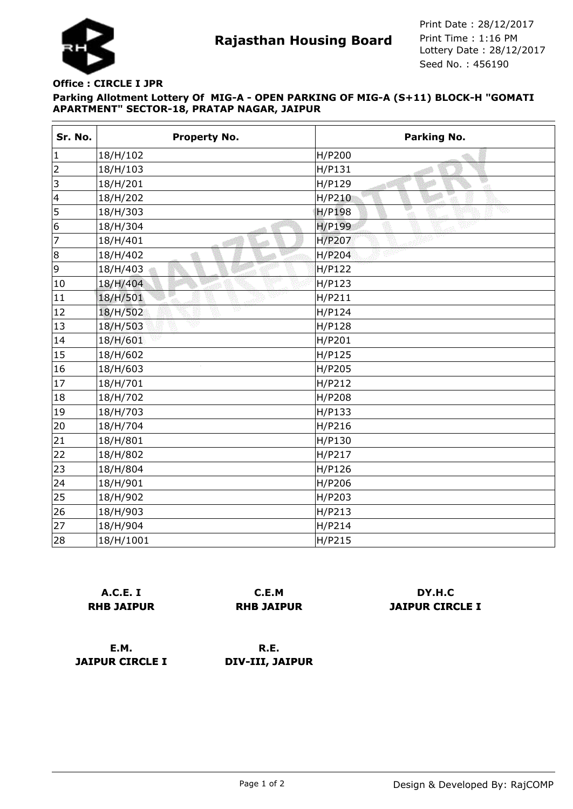

**Rajasthan Housing Board** Print Time : 1:16 PM<br>Lottery Date : 28/12/2017 Seed No. : 456190 Print Date : 28/12/2017 Print Time : 1:16 PM

## **Parking Allotment Lottery Of MIG-A - OPEN PARKING OF MIG-A (S+11) BLOCK-H "GOMATI APARTMENT" SECTOR-18, PRATAP NAGAR, JAIPUR Office : CIRCLE I JPR**

| Sr. No.                 | <b>Property No.</b> | <b>Parking No.</b> |
|-------------------------|---------------------|--------------------|
| $\vert$ 1               | 18/H/102            | H/P200             |
| $\overline{2}$          | 18/H/103            | H/P131             |
| $\vert$ 3               | 18/H/201            | H/P129<br>ा        |
| $\overline{\mathbf{4}}$ | 18/H/202            | H/P210             |
| 5                       | 18/H/303            | <b>H/P198</b>      |
| 6                       | 18/H/304            | H/P199             |
| 7                       | 18/H/401            | H/P207             |
| 8                       | 18/H/402            | H/P204             |
| 9                       | 18/H/403            | H/P122             |
| 10                      | 18/H/404            | H/P123             |
| 11                      | 18/H/501            | H/P211             |
| 12                      | VB<br>18/H/502      | H/P124             |
| 13                      | 18/H/503            | H/P128             |
| 14                      | 18/H/601            | H/P201             |
| 15                      | 18/H/602            | H/P125             |
| 16                      | 18/H/603            | H/P205             |
| 17                      | 18/H/701            | H/P212             |
| 18                      | 18/H/702            | H/P208             |
| 19                      | 18/H/703            | H/P133             |
| 20                      | 18/H/704            | H/P216             |
| 21                      | 18/H/801            | H/P130             |
| 22                      | 18/H/802            | H/P217             |
| 23                      | 18/H/804            | H/P126             |
| 24                      | 18/H/901            | H/P206             |
| 25                      | 18/H/902            | H/P203             |
| 26                      | 18/H/903            | H/P213             |
| 27                      | 18/H/904            | H/P214             |
| 28                      | 18/H/1001           | H/P215             |

| A.C.E. I          |  |  |
|-------------------|--|--|
| <b>RHB JAIPUR</b> |  |  |

**C.E.M RHB JAIPUR**

**DY.H.C JAIPUR CIRCLE I**

**E.M. JAIPUR CIRCLE I**

**R.E. DIV-III, JAIPUR**